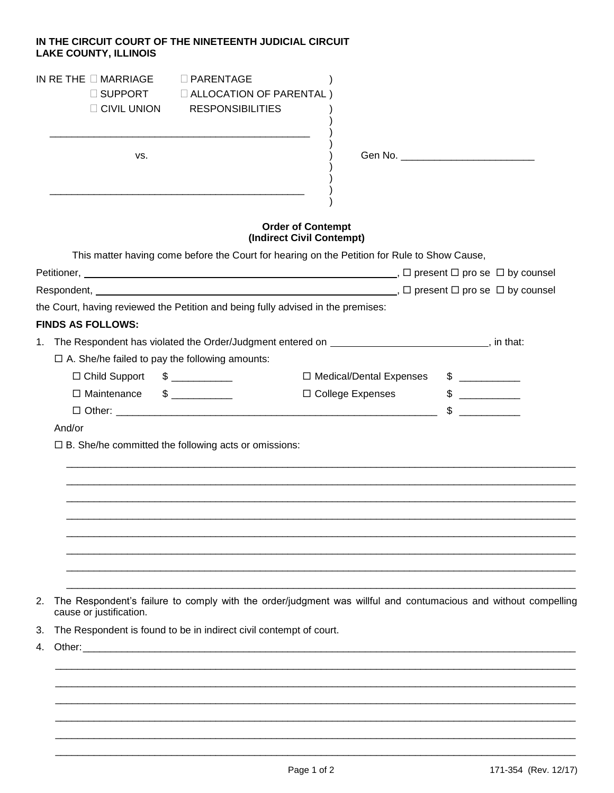## **IN THE CIRCUIT COURT OF THE NINETEENTH JUDICIAL CIRCUIT LAKE COUNTY, ILLINOIS**

| IN RETHE $\Box$ MARRIAGE<br>$\Box$ PARENTAGE<br>□ SUPPORT<br><b>E ALLOCATION OF PARENTAL)</b><br><b>RESPONSIBILITIES</b><br>$\Box$ CIVIL UNION                                                                                       |                                                                                                                |
|--------------------------------------------------------------------------------------------------------------------------------------------------------------------------------------------------------------------------------------|----------------------------------------------------------------------------------------------------------------|
| VS.                                                                                                                                                                                                                                  |                                                                                                                |
|                                                                                                                                                                                                                                      | <b>Order of Contempt</b><br>(Indirect Civil Contempt)                                                          |
|                                                                                                                                                                                                                                      | This matter having come before the Court for hearing on the Petition for Rule to Show Cause,                   |
|                                                                                                                                                                                                                                      |                                                                                                                |
|                                                                                                                                                                                                                                      |                                                                                                                |
| the Court, having reviewed the Petition and being fully advised in the premises:                                                                                                                                                     |                                                                                                                |
| <b>FINDS AS FOLLOWS:</b>                                                                                                                                                                                                             |                                                                                                                |
| 1.                                                                                                                                                                                                                                   | The Respondent has violated the Order/Judgment entered on _____________________________, in that:              |
| $\Box$ A. She/he failed to pay the following amounts:                                                                                                                                                                                |                                                                                                                |
| $\frac{1}{2}$<br>□ Child Support                                                                                                                                                                                                     | $\sim$<br>□ Medical/Dental Expenses                                                                            |
| □ Maintenance<br>$\frac{1}{2}$                                                                                                                                                                                                       | □ College Expenses<br>$\frac{1}{2}$<br>$\sim$                                                                  |
| And/or                                                                                                                                                                                                                               |                                                                                                                |
| $\Box$ B. She/he committed the following acts or omissions:                                                                                                                                                                          |                                                                                                                |
|                                                                                                                                                                                                                                      |                                                                                                                |
|                                                                                                                                                                                                                                      |                                                                                                                |
| 2.                                                                                                                                                                                                                                   | The Respondent's failure to comply with the order/judgment was willful and contumacious and without compelling |
| cause or justification.                                                                                                                                                                                                              |                                                                                                                |
| The Respondent is found to be in indirect civil contempt of court.<br>3.                                                                                                                                                             |                                                                                                                |
| Other: the contract of the contract of the contract of the contract of the contract of the contract of the contract of the contract of the contract of the contract of the contract of the contract of the contract of the con<br>4. |                                                                                                                |
|                                                                                                                                                                                                                                      |                                                                                                                |
|                                                                                                                                                                                                                                      |                                                                                                                |
|                                                                                                                                                                                                                                      |                                                                                                                |

\_\_\_\_\_\_\_\_\_\_\_\_\_\_\_\_\_\_\_\_\_\_\_\_\_\_\_\_\_\_\_\_\_\_\_\_\_\_\_\_\_\_\_\_\_\_\_\_\_\_\_\_\_\_\_\_\_\_\_\_\_\_\_\_\_\_\_\_\_\_\_\_\_\_\_\_\_\_\_\_\_\_\_\_\_\_\_\_\_\_\_\_\_\_